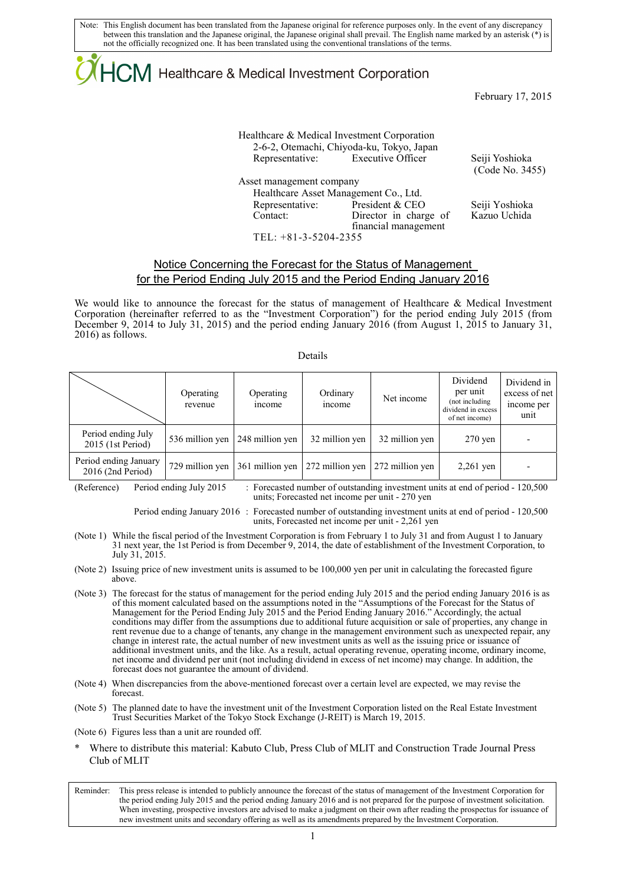Note: This English document has been translated from the Japanese original for reference purposes only. In the event of any discrepancy between this translation and the Japanese original, the Japanese original shall prevail. The English name marked by an asterisk (\*) is not the officially recognized one. It has been translated using the conventional translations of the terms.

# ICM Healthcare & Medical Investment Corporation

February 17, 2015

Healthcare & Medical Investment Corporation 2-6-2, Otemachi, Chiyoda-ku, Tokyo, Japan Representative: Executive Officer Seiji Yoshioka Asset management company Healthcare Asset Management Co., Ltd. Representative: President & CEO Seiji Yoshioka

Contact: Director in charge of

financial management

(Code No. 3455)

Kazuo Uchida

TEL: +81-3-5204-2355

### Notice Concerning the Forecast for the Status of Management for the Period Ending July 2015 and the Period Ending January 2016

We would like to announce the forecast for the status of management of Healthcare & Medical Investment Corporation (hereinafter referred to as the "Investment Corporation") for the period ending July 2015 (from December 9, 2014 to July 31, 2015) and the period ending January 2016 (from August 1, 2015 to January 31, 2016) as follows.

#### Details

|                                              | Operating<br>revenue | Operating<br>income | Ordinary<br>income | Net income      | Dividend<br>per unit<br>(not including<br>dividend in excess<br>of net income) | Dividend in<br>excess of net<br>income per<br>unit |
|----------------------------------------------|----------------------|---------------------|--------------------|-----------------|--------------------------------------------------------------------------------|----------------------------------------------------|
| Period ending July<br>2015 (1st Period)      | 536 million yen      | 248 million yen     | 32 million yen     | 32 million yen  | $270$ yen                                                                      |                                                    |
| Period ending January<br>$2016$ (2nd Period) | 729 million yen      | 361 million yen     | 272 million yen    | 272 million yen | $2,261$ yen                                                                    |                                                    |

(Reference) Period ending July 2015 : Forecasted number of outstanding investment units at end of period - 120,500 units; Forecasted net income per unit - 270 yen

> Period ending January 2016 : Forecasted number of outstanding investment units at end of period - 120,500 units, Forecasted net income per unit - 2,261 yen

- (Note 1) While the fiscal period of the Investment Corporation is from February 1 to July 31 and from August 1 to January 31 next year, the 1st Period is from December 9, 2014, the date of establishment of the Investment Corporation, to July 31, 2015.
- (Note 2) Issuing price of new investment units is assumed to be 100,000 yen per unit in calculating the forecasted figure above.
- (Note 3) The forecast for the status of management for the period ending July 2015 and the period ending January 2016 is as of this moment calculated based on the assumptions noted in the "Assumptions of the Forecast for the Status of Management for the Period Ending July 2015 and the Period Ending January 2016." Accordingly, the actual conditions may differ from the assumptions due to additional future acquisition or sale of properties, any change in rent revenue due to a change of tenants, any change in the management environment such as unexpected repair, any change in interest rate, the actual number of new investment units as well as the issuing price or issuance of additional investment units, and the like. As a result, actual operating revenue, operating income, ordinary income, net income and dividend per unit (not including dividend in excess of net income) may change. In addition, the forecast does not guarantee the amount of dividend.
- (Note 4) When discrepancies from the above-mentioned forecast over a certain level are expected, we may revise the forecast.

(Note 5) The planned date to have the investment unit of the Investment Corporation listed on the Real Estate Investment Trust Securities Market of the Tokyo Stock Exchange (J-REIT) is March 19, 2015.

- (Note 6) Figures less than a unit are rounded off.
- Where to distribute this material: Kabuto Club, Press Club of MLIT and Construction Trade Journal Press Club of MLIT

Reminder: This press release is intended to publicly announce the forecast of the status of management of the Investment Corporation for the period ending July 2015 and the period ending January 2016 and is not prepared for the purpose of investment solicitation. When investing, prospective investors are advised to make a judgment on their own after reading the prospectus for issuance of new investment units and secondary offering as well as its amendments prepared by the Investment Corporation.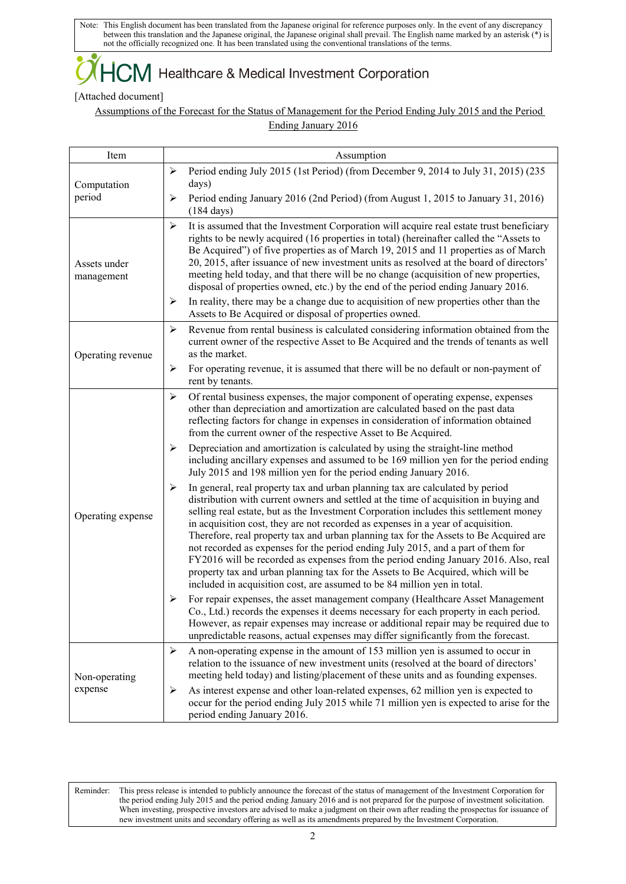Note: This English document has been translated from the Japanese original for reference purposes only. In the event of any discrepancy between this translation and the Japanese original, the Japanese original shall prevail. The English name marked by an asterisk (\*) is not the officially recognized one. It has been translated using the conventional translations of the terms.

## $+C\!M$  Healthcare & Medical Investment Corporation

### [Attached document]

Assumptions of the Forecast for the Status of Management for the Period Ending July 2015 and the Period Ending January 2016

| Item                       | Assumption                                                                                                                                                                                                                                                                                                                                                                                                                                                                                                                                                                                                                                                                                                                                                                                   |  |  |
|----------------------------|----------------------------------------------------------------------------------------------------------------------------------------------------------------------------------------------------------------------------------------------------------------------------------------------------------------------------------------------------------------------------------------------------------------------------------------------------------------------------------------------------------------------------------------------------------------------------------------------------------------------------------------------------------------------------------------------------------------------------------------------------------------------------------------------|--|--|
| Computation<br>period      | Period ending July 2015 (1st Period) (from December 9, 2014 to July 31, 2015) (235<br>≻<br>days)<br>Period ending January 2016 (2nd Period) (from August 1, 2015 to January 31, 2016)<br>≻<br>$(184 \text{ days})$                                                                                                                                                                                                                                                                                                                                                                                                                                                                                                                                                                           |  |  |
| Assets under<br>management | $\blacktriangleright$<br>It is assumed that the Investment Corporation will acquire real estate trust beneficiary<br>rights to be newly acquired (16 properties in total) (hereinafter called the "Assets to<br>Be Acquired") of five properties as of March 19, 2015 and 11 properties as of March<br>20, 2015, after issuance of new investment units as resolved at the board of directors'<br>meeting held today, and that there will be no change (acquisition of new properties,<br>disposal of properties owned, etc.) by the end of the period ending January 2016.                                                                                                                                                                                                                  |  |  |
|                            | In reality, there may be a change due to acquisition of new properties other than the<br>⋗<br>Assets to Be Acquired or disposal of properties owned.                                                                                                                                                                                                                                                                                                                                                                                                                                                                                                                                                                                                                                         |  |  |
| Operating revenue          | Revenue from rental business is calculated considering information obtained from the<br>➤<br>current owner of the respective Asset to Be Acquired and the trends of tenants as well<br>as the market.                                                                                                                                                                                                                                                                                                                                                                                                                                                                                                                                                                                        |  |  |
|                            | For operating revenue, it is assumed that there will be no default or non-payment of<br>➤<br>rent by tenants.                                                                                                                                                                                                                                                                                                                                                                                                                                                                                                                                                                                                                                                                                |  |  |
| Operating expense          | $\blacktriangleright$<br>Of rental business expenses, the major component of operating expense, expenses<br>other than depreciation and amortization are calculated based on the past data<br>reflecting factors for change in expenses in consideration of information obtained<br>from the current owner of the respective Asset to Be Acquired.                                                                                                                                                                                                                                                                                                                                                                                                                                           |  |  |
|                            | Depreciation and amortization is calculated by using the straight-line method<br>➤<br>including ancillary expenses and assumed to be 169 million yen for the period ending<br>July 2015 and 198 million yen for the period ending January 2016.                                                                                                                                                                                                                                                                                                                                                                                                                                                                                                                                              |  |  |
|                            | In general, real property tax and urban planning tax are calculated by period<br>➤<br>distribution with current owners and settled at the time of acquisition in buying and<br>selling real estate, but as the Investment Corporation includes this settlement money<br>in acquisition cost, they are not recorded as expenses in a year of acquisition.<br>Therefore, real property tax and urban planning tax for the Assets to Be Acquired are<br>not recorded as expenses for the period ending July 2015, and a part of them for<br>FY2016 will be recorded as expenses from the period ending January 2016. Also, real<br>property tax and urban planning tax for the Assets to Be Acquired, which will be<br>included in acquisition cost, are assumed to be 84 million yen in total. |  |  |
|                            | For repair expenses, the asset management company (Healthcare Asset Management<br>➤<br>Co., Ltd.) records the expenses it deems necessary for each property in each period.<br>However, as repair expenses may increase or additional repair may be required due to<br>unpredictable reasons, actual expenses may differ significantly from the forecast.                                                                                                                                                                                                                                                                                                                                                                                                                                    |  |  |
| Non-operating<br>expense   | A non-operating expense in the amount of 153 million yen is assumed to occur in<br>➤<br>relation to the issuance of new investment units (resolved at the board of directors'<br>meeting held today) and listing/placement of these units and as founding expenses.                                                                                                                                                                                                                                                                                                                                                                                                                                                                                                                          |  |  |
|                            | As interest expense and other loan-related expenses, 62 million yen is expected to<br>≻<br>occur for the period ending July 2015 while 71 million yen is expected to arise for the<br>period ending January 2016.                                                                                                                                                                                                                                                                                                                                                                                                                                                                                                                                                                            |  |  |

Reminder: This press release is intended to publicly announce the forecast of the status of management of the Investment Corporation for the period ending July 2015 and the period ending January 2016 and is not prepared for the purpose of investment solicitation. When investing, prospective investors are advised to make a judgment on their own after reading the prospectus for issuance of new investment units and secondary offering as well as its amendments prepared by the Investment Corporation.